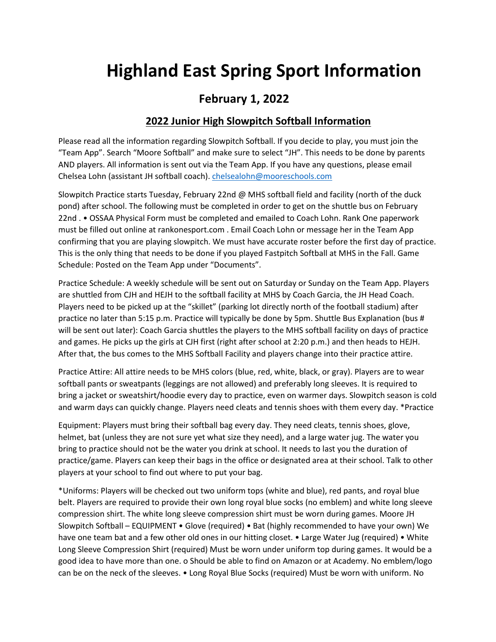# **Highland East Spring Sport Information**

## **February 1, 2022**

#### **2022 Junior High Slowpitch Softball Information**

Please read all the information regarding Slowpitch Softball. If you decide to play, you must join the "Team App". Search "Moore Softball" and make sure to select "JH". This needs to be done by parents AND players. All information is sent out via the Team App. If you have any questions, please email Chelsea Lohn (assistant JH softball coach). [chelsealohn@mooreschools.com](mailto:chelsealohn@mooreschools.com)

Slowpitch Practice starts Tuesday, February 22nd @ MHS softball field and facility (north of the duck pond) after school. The following must be completed in order to get on the shuttle bus on February 22nd . • OSSAA Physical Form must be completed and emailed to Coach Lohn. Rank One paperwork must be filled out online at rankonesport.com . Email Coach Lohn or message her in the Team App confirming that you are playing slowpitch. We must have accurate roster before the first day of practice. This is the only thing that needs to be done if you played Fastpitch Softball at MHS in the Fall. Game Schedule: Posted on the Team App under "Documents".

Practice Schedule: A weekly schedule will be sent out on Saturday or Sunday on the Team App. Players are shuttled from CJH and HEJH to the softball facility at MHS by Coach Garcia, the JH Head Coach. Players need to be picked up at the "skillet" (parking lot directly north of the football stadium) after practice no later than 5:15 p.m. Practice will typically be done by 5pm. Shuttle Bus Explanation (bus # will be sent out later): Coach Garcia shuttles the players to the MHS softball facility on days of practice and games. He picks up the girls at CJH first (right after school at 2:20 p.m.) and then heads to HEJH. After that, the bus comes to the MHS Softball Facility and players change into their practice attire.

Practice Attire: All attire needs to be MHS colors (blue, red, white, black, or gray). Players are to wear softball pants or sweatpants (leggings are not allowed) and preferably long sleeves. It is required to bring a jacket or sweatshirt/hoodie every day to practice, even on warmer days. Slowpitch season is cold and warm days can quickly change. Players need cleats and tennis shoes with them every day. \*Practice

Equipment: Players must bring their softball bag every day. They need cleats, tennis shoes, glove, helmet, bat (unless they are not sure yet what size they need), and a large water jug. The water you bring to practice should not be the water you drink at school. It needs to last you the duration of practice/game. Players can keep their bags in the office or designated area at their school. Talk to other players at your school to find out where to put your bag.

\*Uniforms: Players will be checked out two uniform tops (white and blue), red pants, and royal blue belt. Players are required to provide their own long royal blue socks (no emblem) and white long sleeve compression shirt. The white long sleeve compression shirt must be worn during games. Moore JH Slowpitch Softball – EQUIPMENT • Glove (required) • Bat (highly recommended to have your own) We have one team bat and a few other old ones in our hitting closet. • Large Water Jug (required) • White Long Sleeve Compression Shirt (required) Must be worn under uniform top during games. It would be a good idea to have more than one. o Should be able to find on Amazon or at Academy. No emblem/logo can be on the neck of the sleeves. • Long Royal Blue Socks (required) Must be worn with uniform. No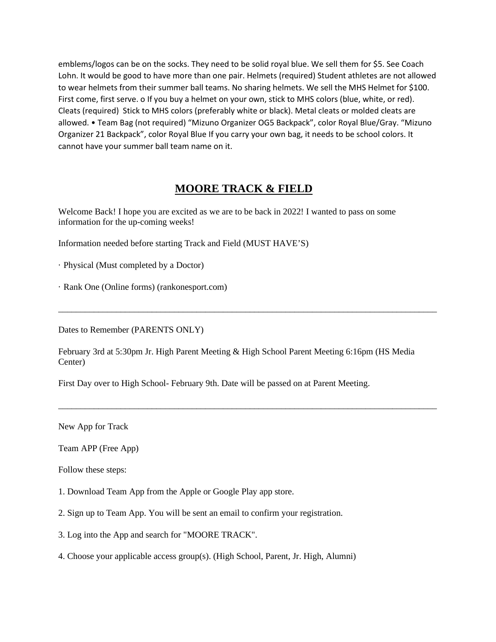emblems/logos can be on the socks. They need to be solid royal blue. We sell them for \$5. See Coach Lohn. It would be good to have more than one pair. Helmets (required) Student athletes are not allowed to wear helmets from their summer ball teams. No sharing helmets. We sell the MHS Helmet for \$100. First come, first serve. o If you buy a helmet on your own, stick to MHS colors (blue, white, or red). Cleats (required) Stick to MHS colors (preferably white or black). Metal cleats or molded cleats are allowed. • Team Bag (not required) "Mizuno Organizer OG5 Backpack", color Royal Blue/Gray. "Mizuno Organizer 21 Backpack", color Royal Blue If you carry your own bag, it needs to be school colors. It cannot have your summer ball team name on it.

### **MOORE TRACK & FIELD**

Welcome Back! I hope you are excited as we are to be back in 2022! I wanted to pass on some information for the up-coming weeks!

Information needed before starting Track and Field (MUST HAVE'S)

· Physical (Must completed by a Doctor)

· Rank One (Online forms) (rankonesport.com)

Dates to Remember (PARENTS ONLY)

February 3rd at 5:30pm Jr. High Parent Meeting & High School Parent Meeting 6:16pm (HS Media Center)

\_\_\_\_\_\_\_\_\_\_\_\_\_\_\_\_\_\_\_\_\_\_\_\_\_\_\_\_\_\_\_\_\_\_\_\_\_\_\_\_\_\_\_\_\_\_\_\_\_\_\_\_\_\_\_\_\_\_\_\_\_\_\_\_\_\_\_\_\_\_\_\_\_\_\_\_\_\_\_\_\_\_\_\_\_

\_\_\_\_\_\_\_\_\_\_\_\_\_\_\_\_\_\_\_\_\_\_\_\_\_\_\_\_\_\_\_\_\_\_\_\_\_\_\_\_\_\_\_\_\_\_\_\_\_\_\_\_\_\_\_\_\_\_\_\_\_\_\_\_\_\_\_\_\_\_\_\_\_\_\_\_\_\_\_\_\_\_\_\_\_

First Day over to High School- February 9th. Date will be passed on at Parent Meeting.

New App for Track

Team APP (Free App)

Follow these steps:

- 1. Download Team App from the Apple or Google Play app store.
- 2. Sign up to Team App. You will be sent an email to confirm your registration.
- 3. Log into the App and search for "MOORE TRACK".
- 4. Choose your applicable access group(s). (High School, Parent, Jr. High, Alumni)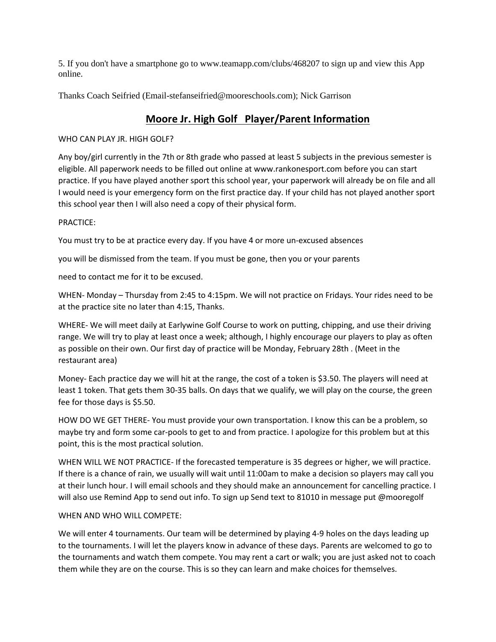5. If you don't have a smartphone go to www.teamapp.com/clubs/468207 to sign up and view this App online.

Thanks Coach Seifried (Email-stefanseifried@mooreschools.com); Nick Garrison

## **Moore Jr. High Golf Player/Parent Information**

#### WHO CAN PLAY JR. HIGH GOLF?

Any boy/girl currently in the 7th or 8th grade who passed at least 5 subjects in the previous semester is eligible. All paperwork needs to be filled out online at www.rankonesport.com before you can start practice. If you have played another sport this school year, your paperwork will already be on file and all I would need is your emergency form on the first practice day. If your child has not played another sport this school year then I will also need a copy of their physical form.

#### PRACTICE:

You must try to be at practice every day. If you have 4 or more un-excused absences

you will be dismissed from the team. If you must be gone, then you or your parents

need to contact me for it to be excused.

WHEN- Monday – Thursday from 2:45 to 4:15pm. We will not practice on Fridays. Your rides need to be at the practice site no later than 4:15, Thanks.

WHERE- We will meet daily at Earlywine Golf Course to work on putting, chipping, and use their driving range. We will try to play at least once a week; although, I highly encourage our players to play as often as possible on their own. Our first day of practice will be Monday, February 28th . (Meet in the restaurant area)

Money- Each practice day we will hit at the range, the cost of a token is \$3.50. The players will need at least 1 token. That gets them 30-35 balls. On days that we qualify, we will play on the course, the green fee for those days is \$5.50.

HOW DO WE GET THERE- You must provide your own transportation. I know this can be a problem, so maybe try and form some car-pools to get to and from practice. I apologize for this problem but at this point, this is the most practical solution.

WHEN WILL WE NOT PRACTICE- If the forecasted temperature is 35 degrees or higher, we will practice. If there is a chance of rain, we usually will wait until 11:00am to make a decision so players may call you at their lunch hour. I will email schools and they should make an announcement for cancelling practice. I will also use Remind App to send out info. To sign up Send text to 81010 in message put @mooregolf

#### WHEN AND WHO WILL COMPETE:

We will enter 4 tournaments. Our team will be determined by playing 4-9 holes on the days leading up to the tournaments. I will let the players know in advance of these days. Parents are welcomed to go to the tournaments and watch them compete. You may rent a cart or walk; you are just asked not to coach them while they are on the course. This is so they can learn and make choices for themselves.